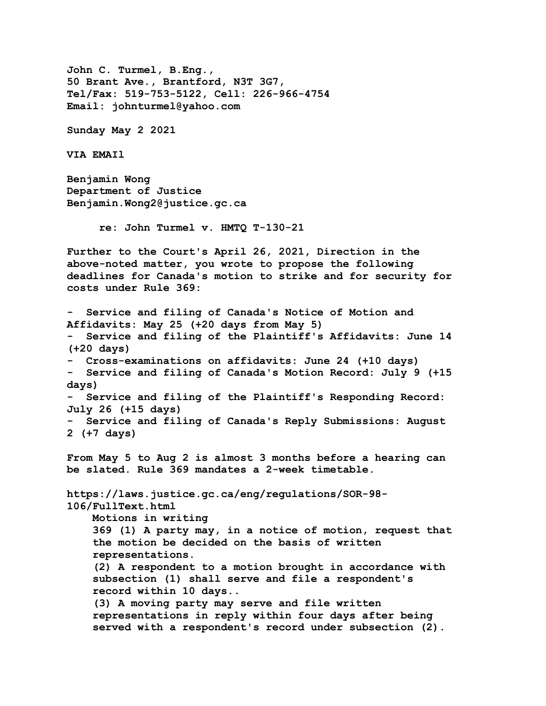**John C. Turmel, B.Eng., 50 Brant Ave., Brantford, N3T 3G7, Tel/Fax: 519-753-5122, Cell: 226-966-4754 Email: johnturmel@yahoo.com Sunday May 2 2021 VIA EMAIl Benjamin Wong Department of Justice Benjamin.Wong2@justice.gc.ca re: John Turmel v. HMTQ T-130-21 Further to the Court's April 26, 2021, Direction in the above-noted matter, you wrote to propose the following deadlines for Canada's motion to strike and for security for costs under Rule 369: - Service and filing of Canada's Notice of Motion and Affidavits: May 25 (+20 days from May 5) - Service and filing of the Plaintiff's Affidavits: June 14 (+20 days) - Cross-examinations on affidavits: June 24 (+10 days) - Service and filing of Canada's Motion Record: July 9 (+15 days) - Service and filing of the Plaintiff's Responding Record: July 26 (+15 days) - Service and filing of Canada's Reply Submissions: August 2 (+7 days) From May 5 to Aug 2 is almost 3 months before a hearing can be slated. Rule 369 mandates a 2-week timetable. https://laws.justice.gc.ca/eng/regulations/SOR-98- 106/FullText.html Motions in writing 369 (1) A party may, in a notice of motion, request that the motion be decided on the basis of written representations. (2) A respondent to a motion brought in accordance with subsection (1) shall serve and file a respondent's record within 10 days.. (3) A moving party may serve and file written representations in reply within four days after being served with a respondent's record under subsection (2).**